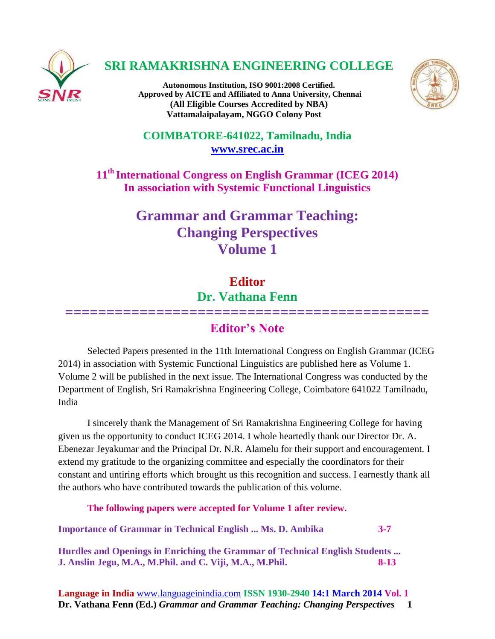

## **SRI RAMAKRISHNA ENGINEERING COLLEGE**

**Autonomous Institution, ISO 9001:2008 Certified. Approved by AICTE and Affiliated to Anna University, Chennai (All Eligible Courses Accredited by NBA) Vattamalaipalayam, NGGO Colony Post**



**COIMBATORE-641022, Tamilnadu, India [www.srec.ac.in](http://www.srec.ac.in/)**

**11th International Congress on English Grammar (ICEG 2014) In association with Systemic Functional Linguistics**

## **Grammar and Grammar Teaching: Changing Perspectives Volume 1**

## **Editor Dr. Vathana Fenn**

## **============================================ Editor's Note**

Selected Papers presented in the 11th International Congress on English Grammar (ICEG 2014) in association with Systemic Functional Linguistics are published here as Volume 1. Volume 2 will be published in the next issue. The International Congress was conducted by the Department of English, Sri Ramakrishna Engineering College, Coimbatore 641022 Tamilnadu, India

I sincerely thank the Management of Sri Ramakrishna Engineering College for having given us the opportunity to conduct ICEG 2014. I whole heartedly thank our Director Dr. A. Ebenezar Jeyakumar and the Principal Dr. N.R. Alamelu for their support and encouragement. I extend my gratitude to the organizing committee and especially the coordinators for their constant and untiring efforts which brought us this recognition and success. I earnestly thank all the authors who have contributed towards the publication of this volume.

**The following papers were accepted for Volume 1 after review.**

**Importance of Grammar in Technical English ... Ms. D. Ambika 3-7**

**Hurdles and Openings in Enriching the Grammar of Technical English Students ... J. Anslin Jegu, M.A., M.Phil. and C. Viji, M.A., M.Phil. 8-13**